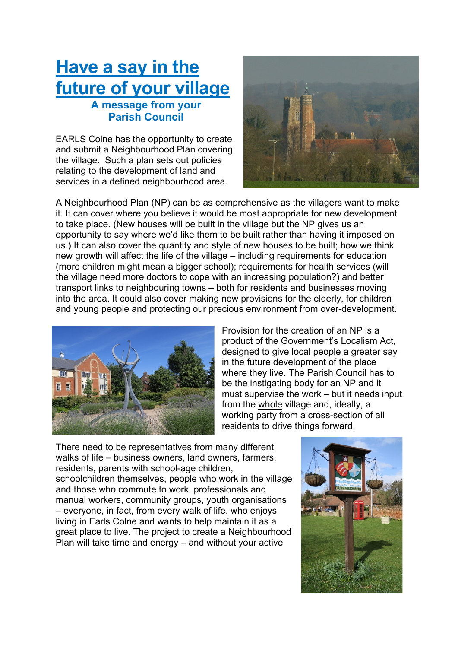## **Have a say in the future of your village A message from your Parish Council**

EARLS Colne has the opportunity to create and submit a Neighbourhood Plan covering the village. Such a plan sets out policies relating to the development of land and services in a defined neighbourhood area.



A Neighbourhood Plan (NP) can be as comprehensive as the villagers want to make it. It can cover where you believe it would be most appropriate for new development to take place. (New houses will be built in the village but the NP gives us an opportunity to say where we'd like them to be built rather than having it imposed on us.) It can also cover the quantity and style of new houses to be built; how we think new growth will affect the life of the village – including requirements for education (more children might mean a bigger school); requirements for health services (will the village need more doctors to cope with an increasing population?) and better transport links to neighbouring towns – both for residents and businesses moving into the area. It could also cover making new provisions for the elderly, for children and young people and protecting our precious environment from over-development.



Provision for the creation of an NP is a product of the Government's Localism Act, designed to give local people a greater say in the future development of the place where they live. The Parish Council has to be the instigating body for an NP and it must supervise the work – but it needs input from the whole village and, ideally, a working party from a cross-section of all residents to drive things forward.

There need to be representatives from many different walks of life – business owners, land owners, farmers, residents, parents with school-age children, schoolchildren themselves, people who work in the village and those who commute to work, professionals and manual workers, community groups, youth organisations – everyone, in fact, from every walk of life, who enjoys living in Earls Colne and wants to help maintain it as a great place to live. The project to create a Neighbourhood Plan will take time and energy – and without your active